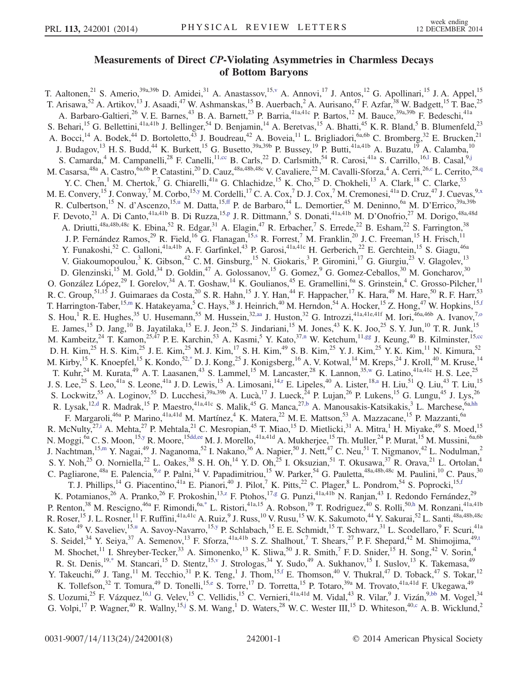## Measurements of Direct CP-Violating Asymmetries in Charmless Decays<br>of Bottom Barvons  $\cdots$  Bottom Baryons

<span id="page-0-21"></span><span id="page-0-20"></span><span id="page-0-19"></span><span id="page-0-18"></span><span id="page-0-17"></span><span id="page-0-16"></span><span id="page-0-15"></span><span id="page-0-14"></span><span id="page-0-13"></span><span id="page-0-12"></span><span id="page-0-11"></span><span id="page-0-10"></span><span id="page-0-9"></span><span id="page-0-8"></span><span id="page-0-7"></span><span id="page-0-6"></span><span id="page-0-5"></span><span id="page-0-4"></span><span id="page-0-3"></span><span id="page-0-2"></span><span id="page-0-1"></span><span id="page-0-0"></span>T. Aaltonen,<sup>21</sup> S. Amerio,<sup>39a,39b</sup> D. Amidei,<sup>31</sup> A. Anastassov,<sup>15[,v](#page-6-0)</sup> A. Annovi,<sup>17</sup> J. Antos,<sup>12</sup> G. Apollinari,<sup>15</sup> J. A. Appel,<sup>15</sup> T. Arisawa,<sup>52</sup> A. Artikov,<sup>13</sup> J. Asaadi,<sup>47</sup> W. Ashmanskas,<sup>15</sup> B. Auerbach,<sup>2</sup> A. Aurisano,<sup>47</sup> F. Azfar,<sup>38</sup> W. Badgett,<sup>15</sup> T. Bae,<sup>25</sup> A. Barbaro-Galtieri,<sup>26</sup> V. E. Barnes,<sup>43</sup> B. A. Barnett,<sup>23</sup> P. Barria,<sup>41a,41c</sup> P. Bartos,<sup>12</sup> M. Bauce,<sup>39a,39b</sup> F. Bedeschi,<sup>41a</sup> S. Behari,<sup>15</sup> G. Bellettini,<sup>41a,41b</sup> J. Bellinger,<sup>54</sup> D. Benjamin,<sup>14</sup> A. Beretvas,<sup>15</sup> A. Bhatti,<sup>45</sup> K. R. Bland,<sup>5</sup> B. Blumenfeld,<sup>23</sup> A. Bocci,<sup>14</sup> A. Bodek,<sup>44</sup> D. Bortoletto,<sup>43</sup> J. Boudreau,<sup>42</sup> A. Boveia,<sup>11</sup> L. Brigliadori,<sup>6a,6b</sup> C. Bromberg,<sup>32</sup> E. Brucken,<sup>21</sup> J. Budagov,<sup>13</sup> H. S. Budd,<sup>44</sup> K. Burkett,<sup>15</sup> G. Busetto,<sup>39a,39b</sup> P. Bussey,<sup>19</sup> P. Butti,<sup>41a,41b</sup> A. Buzatu,<sup>19</sup> A. Calamba,<sup>10</sup> S. Camarda,<sup>4</sup> M. Campanelli,<sup>28</sup> F. Canelli,<sup>1[1,cc](#page-6-1)</sup> B. Carls,<sup>22</sup> D. Carlsmith,<sup>54</sup> R. Carosi,<sup>41a</sup> S. Carrillo,<sup>16,1</sup> B. Casal,<sup>9[,j](#page-6-3)</sup> M. Casarsa,<sup>48a</sup> A. Castro,<sup>6a,6b</sup> P. Catastini,<sup>20</sup> D. Cauz,<sup>48a,48b,48c</sup> V. Cavaliere,<sup>22</sup> M. Cavalli-Sforza,<sup>4</sup> A. Cerri,<sup>2[6,e](#page-6-4)</sup> L. Cerrito,<sup>28[,q](#page-6-5)</sup> Y. C. Chen,<sup>1</sup> M. Chertok,<sup>7</sup> G. Chiarelli,<sup>41a</sup> G. Chlachidze,<sup>15</sup> K. Cho,<sup>25</sup> D. Chokheli,<sup>13</sup> A. Clark,<sup>18</sup> C. Clarke,<sup>53</sup> M. E. Convery,  $^{15}$  J. Conway,  $^{7}$  M. Corbo,  $^{15,y}$  $^{15,y}$  $^{15,y}$  M. Cordelli,  $^{17}$  C. A. Cox,  $^{7}$  D. J. Cox,  $^{7}$  M. Cremonesi,  $^{41a}$  D. Cruz,  $^{47}$  J. Cuevas,  $^{9,x}$  $^{9,x}$  $^{9,x}$ R. Culbertson,<sup>15</sup> N. d'Ascenzo,<sup>1[5,u](#page-6-8)</sup> M. Datta,<sup>15[,ff](#page-7-0)</sup> P. de Barbaro,<sup>44</sup> L. Demortier,<sup>45</sup> M. Deninno,<sup>6a</sup> M. D'Errico,<sup>39a,39b</sup> F. Devoto,<sup>21</sup> A. Di Canto,<sup>41a,41b</sup> B. Di Ruzza,<sup>15[,p](#page-6-9)</sup> J. R. Dittmann,<sup>5</sup> S. Donati,<sup>41a,41b</sup> M. D'Onofrio,<sup>27</sup> M. Dorigo,<sup>48a,48d</sup> A. Driutti,<sup>48a,48b,48c</sup> K. Ebina,<sup>52</sup> R. Edgar,<sup>31</sup> A. Elagin,<sup>47</sup> R. Erbacher,<sup>7</sup> S. Errede,<sup>22</sup> B. Esham,<sup>22</sup> S. Farrington,<sup>38</sup> J. P. Fernández Ramos,<sup>29</sup> R. Field,<sup>16</sup> G. Flanagan,<sup>1[5,s](#page-6-10)</sup> R. Forrest,<sup>7</sup> M. Franklin,<sup>20</sup> J. C. Freeman,<sup>15</sup> H. Frisch,<sup>11</sup> Y. Funakoshi,<sup>52</sup> C. Galloni,<sup>41a,41b</sup> A. F. Garfinkel,<sup>43</sup> P. Garosi,<sup>41a,41c</sup> H. Gerberich,<sup>22</sup> E. Gerchtein,<sup>15</sup> S. Giagu,<sup>46a</sup> V. Giakoumopoulou,<sup>3</sup> K. Gibson,<sup>42</sup> C. M. Ginsburg,<sup>15</sup> N. Giokaris,<sup>3</sup> P. Giromini,<sup>17</sup> G. Giurgiu,<sup>23</sup> V. Glagolev,<sup>13</sup> D. Glenzinski,<sup>15</sup> M. Gold,<sup>34</sup> D. Goldin,<sup>47</sup> A. Golossanov,<sup>15</sup> G. Gomez,<sup>9</sup> G. Gomez-Ceballos,<sup>30</sup> M. Goncharov,<sup>30</sup> O. González López,<sup>29</sup> I. Gorelov,<sup>34</sup> A. T. Goshaw,<sup>14</sup> K. Goulianos,<sup>45</sup> E. Gramellini,<sup>6a</sup> S. Grinstein,<sup>4</sup> C. Grosso-Pilcher,<sup>11</sup> R. C. Group,<sup>51,15</sup> J. Guimaraes da Costa,<sup>20</sup> S. R. Hahn,<sup>15</sup> J. Y. Han,<sup>44</sup> F. Happacher,<sup>17</sup> K. Hara,<sup>49</sup> M. Hare,<sup>50</sup> R. F. Harr,<sup>53</sup> T. Harrington-Taber,<sup>15[,m](#page-6-11)</sup> K. Hatakeyama,<sup>5</sup> C. Hays,<sup>38</sup> J. Heinrich,<sup>40</sup> M. Herndon,<sup>54</sup> A. Hocker,<sup>15</sup> Z. Hong,<sup>47</sup> W. Hopkins,<sup>15[,f](#page-6-12)</sup> S. Hou,<sup>1</sup> R. E. Hughes,<sup>35</sup> U. Husemann,<sup>55</sup> M. Hussein,<sup>3[2,aa](#page-6-13)</sup> J. Huston,<sup>32</sup> G. Introzzi,<sup>41a,41e,41f</sup> M. Iori,<sup>46a,46b</sup> A. Ivanov,<sup>7,0</sup> E. James, <sup>15</sup> D. Jang, <sup>10</sup> B. Jayatilaka, <sup>15</sup> E. J. Jeon, <sup>25</sup> S. Jindariani, <sup>15</sup> M. Jones, <sup>43</sup> K. K. Joo, <sup>25</sup> S. Y. Jun, <sup>10</sup> T. R. Junk, <sup>15</sup> M. Kambeitz,<sup>24</sup> T. Kamon,<sup>25,47</sup> P. E. Karchin,<sup>53</sup> A. Kasmi,<sup>5</sup> Y. Kato,<sup>3[7,n](#page-6-15)</sup> W. Ketchum,<sup>11[,gg](#page-7-1)</sup> J. Keung,<sup>40</sup> B. Kilminster,<sup>1[5,cc](#page-6-1)</sup> D. H. Kim,<sup>25</sup> H. S. Kim,<sup>25</sup> J. E. Kim,<sup>25</sup> M. J. Kim,<sup>17</sup> S. H. Kim,<sup>49</sup> S. B. Kim,<sup>25</sup> Y. J. Kim,<sup>25</sup> Y. K. Kim,<sup>11</sup> N. Kimura,<sup>52</sup> M. Kirby, <sup>15</sup> K. Knoepfel, <sup>15</sup> K. Kondo, <sup>5[2,\\*](#page-6-16)</sup> D. J. Kong, <sup>25</sup> J. Konigsberg, <sup>16</sup> A. V. Kotwal, <sup>14</sup> M. Kreps, <sup>24</sup> J. Kroll, <sup>40</sup> M. Kruse, <sup>14</sup> T. Kuhr,<sup>24</sup> M. Kurata,<sup>49</sup> A. T. Laasanen,<sup>43</sup> S. Lammel,<sup>15</sup> M. Lancaster,<sup>28</sup> K. Lannon,<sup>3[5,w](#page-6-17)</sup> G. Latino,<sup>41a,41c</sup> H. S. Lee,<sup>25</sup> J. S. Lee,<sup>25</sup> S. Leo,<sup>41a</sup> S. Leone,<sup>41a</sup> J. D. Lewis,<sup>15</sup> A. Limosani,<sup>14[,r](#page-6-18)</sup> E. Lipeles,<sup>40</sup> A. Lister,<sup>18[,a](#page-6-19)</sup> H. Liu,<sup>51</sup> Q. Liu,<sup>43</sup> T. Liu,<sup>15</sup> S. Lockwitz,<sup>55</sup> A. Loginov,<sup>55</sup> D. Lucchesi,<sup>39a,39b</sup> A. Lucà,<sup>17</sup> J. Lueck,<sup>24</sup> P. Lujan,<sup>26</sup> P. Lukens,<sup>15</sup> G. Lungu,<sup>45</sup> J. Lys,<sup>26</sup> R. Lysak,<sup>12[,d](#page-6-20)</sup> R. Madrak,<sup>15</sup> P. Maestro,<sup>41a,41c</sup> S. Malik,<sup>45</sup> G. Manca,<sup>27[,b](#page-6-21)</sup> A. Manousakis-Katsikakis,<sup>3</sup> L. Marchese,<sup>6[a,hh](#page-7-2)</sup> F. Margaroli,<sup>46a</sup> P. Marino,<sup>41a,41d</sup> M. Martínez,<sup>4</sup> K. Matera,<sup>22</sup> M. E. Mattson,<sup>53</sup> A. Mazzacane,<sup>15</sup> P. Mazzanti,<sup>6a</sup> R. McNulty,  $^{27,i}$  $^{27,i}$  $^{27,i}$  A. Mehta,  $^{27}$  P. Mehtala,  $^{21}$  C. Mesropian,  $^{45}$  T. Miao,  $^{15}$  D. Mietlicki,  $^{31}$  A. Mitra,  $^{1}$  H. Miyake,  $^{49}$  S. Moed,  $^{15}$ N. Moggi, <sup>6a</sup> C. S. Moon, <sup>1[5,y](#page-6-6)</sup> R. Moore, <sup>1[5dd,ee](#page-6-23)</sup> M. J. Morello, <sup>41a,41d</sup> A. Mukherjee, <sup>15</sup> Th. Muller, <sup>24</sup> P. Murat, <sup>15</sup> M. Mussini, <sup>6a,6b</sup> J. Nachtman,<sup>15[,m](#page-6-11)</sup> Y. Nagai,<sup>49</sup> J. Naganoma,<sup>52</sup> I. Nakano,<sup>36</sup> A. Napier,<sup>50</sup> J. Nett,<sup>47</sup> C. Neu,<sup>51</sup> T. Nigmanov,<sup>42</sup> L. Nodulman,<sup>2</sup> S. Y. Noh,<sup>25</sup> O. Norniella,<sup>22</sup> L. Oakes,<sup>38</sup> S. H. Oh,<sup>14</sup> Y. D. Oh,<sup>25</sup> I. Oksuzian,<sup>51</sup> T. Okusawa,<sup>37</sup> R. Orava,<sup>21</sup> L. Ortolan,<sup>4</sup> C. Pagliarone,<sup>48a</sup> E. Palencia,<sup>9[,e](#page-6-4)</sup> P. Palni,<sup>34</sup> V. Papadimitriou,<sup>15</sup> W. Parker,<sup>54</sup> G. Pauletta,<sup>48a,48b,48c</sup> M. Paulini,<sup>10</sup> C. Paus,<sup>30</sup> T. J. Phillips,<sup>14</sup> G. Piacentino,<sup>41a</sup> E. Pianori,<sup>40</sup> J. Pilot,<sup>7</sup> K. Pitts,<sup>22</sup> C. Plager,<sup>8</sup> L. Pondrom,<sup>54</sup> S. Poprocki,<sup>15[,f](#page-6-12)</sup> K. Potamianos,<sup>26</sup> A. Pranko,<sup>26</sup> F. Prokoshin,<sup>13[,z](#page-6-24)</sup> F. Ptohos,<sup>17[,g](#page-6-25)</sup> G. Punzi,<sup>41a,41b</sup> N. Ranjan,<sup>43</sup> I. Redondo Fernández,<sup>29</sup> P. Renton,<sup>38</sup> M. Rescigno,<sup>46a</sup> F. Rimondi,<sup>6[a,\\*](#page-6-16)</sup> L. Ristori,<sup>41a,15</sup> A. Robson,<sup>19</sup> T. Rodriguez,<sup>40</sup> S. Rolli,<sup>50[,h](#page-6-26)</sup> M. Ronzani,<sup>41a,41b</sup> R. Roser, <sup>15</sup> J. L. Rosner, <sup>11</sup> F. Ruffini, <sup>41a,41c</sup> A. Ruiz, <sup>9</sup> J. Russ, <sup>10</sup> V. Rusu, <sup>15</sup> W. K. Sakumoto, <sup>44</sup> Y. Sakurai, <sup>52</sup> L. Santi, <sup>48a,48b,48c</sup> K. Sato,<sup>49</sup> V. Saveliev,<sup>1[5,u](#page-6-8)</sup> A. Savoy-Navarro,<sup>15[,y](#page-6-6)</sup> P. Schlabach,<sup>15</sup> E. E. Schmidt,<sup>15</sup> T. Schwarz,<sup>31</sup> L. Scodellaro,<sup>9</sup> F. Scuri,<sup>41a</sup> S. Seidel,<sup>34</sup> Y. Seiya,<sup>37</sup> A. Semenov,<sup>13</sup> F. Sforza,<sup>41a,41b</sup> S. Z. Shalhout,<sup>7</sup> T. Shears,<sup>27</sup> P. F. Shepard,<sup>42</sup> M. Shimojima,<sup>4[9,t](#page-6-27)</sup> M. Shochet,<sup>11</sup> I. Shreyber-Tecker,<sup>33</sup> A. Simonenko,<sup>13</sup> K. Sliwa,<sup>50</sup> J. R. Smith,<sup>7</sup> F. D. Snider,<sup>15</sup> H. Song,<sup>42</sup> V. Sorin,<sup>4</sup> R. St. Denis,<sup>19[,\\*](#page-6-16)</sup> M. Stancari,<sup>15</sup> D. Stentz,<sup>1[5,v](#page-6-0)</sup> J. Strologas,<sup>34</sup> Y. Sudo,<sup>49</sup> A. Sukhanov,<sup>15</sup> I. Suslov,<sup>13</sup> K. Takemasa,<sup>49</sup> Y. Takeuchi,<sup>49</sup> J. Tang,<sup>11</sup> M. Tecchio,<sup>31</sup> P. K. Teng,<sup>1</sup> J. Thom,<sup>15[,f](#page-6-12)</sup> E. Thomson,<sup>40</sup> V. Thukral,<sup>47</sup> D. Toback,<sup>47</sup> S. Tokar,<sup>12</sup> K. Tollefson,<sup>32</sup> T. Tomura,<sup>49</sup> D. Tonelli,<sup>15[,e](#page-6-4)</sup> S. Torre,<sup>17</sup> D. Torretta,<sup>15</sup> P. Totaro,<sup>39a</sup> M. Trovato,<sup>41a,41d</sup> F. Ukegawa,<sup>49</sup> S. Uozumi,<sup>25</sup> F. Vázquez,<sup>16[,l](#page-6-2)</sup> G. Velev,<sup>15</sup> C. Vellidis,<sup>15</sup> C. Vernieri,<sup>41a,41d</sup> M. Vidal,<sup>43</sup> R. Vilar,<sup>9</sup> J. Vizán,<sup>[9,bb](#page-6-28)</sup> M. Vogel,<sup>34</sup> G. Volpi,<sup>17</sup> P. Wagner,<sup>40</sup> R. Wallny,<sup>1[5,j](#page-6-3)</sup> S. M. Wang,<sup>1</sup> D. Waters,<sup>28</sup> W. C. Wester III,<sup>15</sup> D. Whiteson,<sup>40[,c](#page-6-29)</sup> A. B. Wicklund,<sup>2</sup>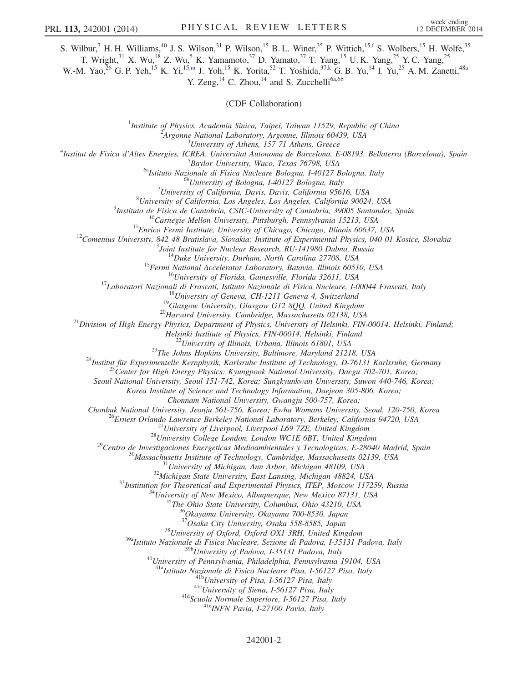S. Wilbur,<sup>7</sup> H. H. Williams,<sup>40</sup> J. S. Wilson,<sup>31</sup> P. Wilson,<sup>15</sup> B. L. Winer,<sup>35</sup> P. Wittich,<sup>15[,f](#page-6-12)</sup> S. Wolbers,<sup>15</sup> H. Wolfe,<sup>35</sup>

T. Wright,<sup>31</sup> X. Wu,<sup>18</sup> Z. Wu,<sup>5</sup> K. Yamamoto,<sup>37</sup> D. Yamato,<sup>37</sup> T. Yang,<sup>15</sup> U. K. Yang,<sup>25</sup> Y. C. Yang,<sup>25</sup>

<span id="page-1-0"></span>W.-M. Yao,<sup>26</sup> G. P. Yeh,<sup>15</sup> K. Yi,<sup>1[5,m](#page-6-11)</sup> J. Yoh,<sup>15</sup> K. Yorita,<sup>52</sup> T. Yoshida,<sup>37[,k](#page-6-30)</sup> G. B. Yu,<sup>14</sup> I. Yu,<sup>25</sup> A. M. Zanetti,<sup>48a</sup>

Y. Zeng, $^{14}$  C. Zhou, $^{14}$  and S. Zucchelli<sup>6a,6b</sup>

(CDF Collaboration)

<sup>1</sup>Institute of Physics, Academia Sinica, Taipei, Taiwan 11529, Republic of China<br><sup>2</sup><sup>2</sup>Anosume National Laboratory, Anosume Illinois 60420, USA

<sup>2</sup>Argonne National Laboratory, Argonne, Illinois 60439, USA<br><sup>3</sup>University of Athens, 157 71 Athens, Greece

University of Athens, 157 71 Athens, Greece<sup>4</sup> Testitut de Fisica d'Altes Francies, IGBFA, Universitat Autonoma de Barcelona. E

Institut de Fisica d'Altes Energies, ICREA, Universitat Autonoma de Barcelona, E-08193, Bellaterra (Barcelona), Spain<br>5 Baylor University Wase, Texas 76709, USA

 $^{5}$ Baylor University, Waco, Texas 76798, USA<br><sup>6a</sup>Istituto Nazionale di Fisica Nucleare Bologna, I-40127 Bologna, Italy <sup>6b</sup>University of Bologna, I-40127 Bologna, Italy

 $^{7}$ University of California, Davis, Davis, California 95616, USA

 $^{8}$ University of California, Los Angeles, Los Angeles, California 90024, USA<br><sup>9</sup>Instituto de Fisica de Cantabria, CSIC-University of Cantabria, 39005 Santander, Spain

<sup>2</sup>Instituto de Fisica de Cantabria, CSIC-University of Cantabria, 39005 Santander, Spain<br><sup>10</sup>Carnegie Mellon University, Pittsburgh, Pennsylvania 15213, USA<br><sup>11</sup>Enrico Fermi Institute, University of Chicago, Chicago, Ill

Helsinki Institute of Physics, FIN-00014, Helsinki, Finland<br><sup>22</sup> University of Illinois, Urbana, Illinois 61801, USA<br><sup>23</sup> The Johns Hopkins University, Baltimore, Maryland 21218, USA<br><sup>24</sup> Institut für Experimentelle Kernph

Seoul National University, Seoul 151-742, Korea; Sungkyunkwan University, Suwon 440-746, Korea;

Korea Institute of Science and Technology Information, Daejeon 305-806, Korea;

Chonnam National University, Gwangju 500-757, Korea;<br>Chonbuk National University, Jeonju 561-756, Korea; Ewha Womans University, Seoul, 120-750, Korea Chonbuk National University, Jeonju 561-756, Korea; Ewha Womans University, Seoul, 120-750, Korea<br>
<sup>26</sup> Ernest Orlando Lawrence Berkeley National Laboratory, Berkeley, California 94720, USA<br>
<sup>27</sup> University of Liverpool,

<sup>37</sup>Osaka City University, Osaka 558-8585, Japan<br><sup>38</sup>University of Oxford, Oxford OX1 3RH, United Kingdom<br><sup>39a</sup>Istituto Nazionale di Fisica Nucleare, Sezione di Padova, I-35131 Padova, Italy<br><sup>39b</sup>University of Padova, I-3

<sup>40</sup>University of Pennsylvania, Philadelphia, Pennsylvania 19104, USA<br><sup>41a</sup>Istituto Nazionale di Fisica Nucleare Pisa, I-56127 Pisa, Italy

<sup>41b</sup>University of Pisa, I-56127 Pisa, Italy<br><sup>41c</sup>University of Siena, I-56127 Pisa, Italy<br><sup>41d</sup>Scuola Normale Superiore, I-56127 Pisa, Italy<br><sup>41d</sup>ENFN Pavia, I-27100 Pavia, Italy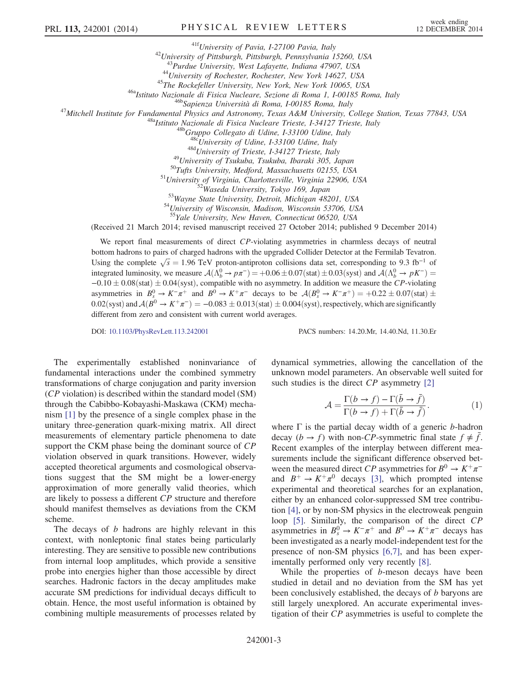<sup>416</sup>University of Pavia, I-27100 Pavia, Italy<br><sup>42</sup>University of Pittsburgh, Pittsburgh, Pennsylvania 15260, USA<br><sup>43</sup>Purdue University, West Lafayette, Indiana 47907, USA<br><sup>43</sup>Purdue University, West Lafayette, Indiana 479

<sup>48d</sup>University of Trieste, I-34127 Trieste, Italy<br><sup>49</sup>University of Tsukuba, Tsukuba, Ibaraki 305, Japan<br><sup>50</sup>Tufts University, Medford, Massachusetts 02155, USA<br><sup>51</sup>University of Virginia, Charlottesville, Virginia 22906

<sup>55</sup>Yale University, New Haven, Connecticut 06520, USA

(Received 21 March 2014; revised manuscript received 27 October 2014; published 9 December 2014)

We report final measurements of direct CP-violating asymmetries in charmless decays of neutral bottom hadrons to pairs of charged hadrons with the upgraded Collider Detector at the Fermilab Tevatron. Using the complete  $\sqrt{s} = 1.96$  TeV proton-antiproton collisions data set, corresponding to 9.3 fb<sup>-1</sup> of integrated luminosity, we measure  $A(\Lambda_b^0 \to p\pi^-) = +0.06 \pm 0.07$  (stat)  $\pm 0.03$  (syst) and  $A(\Lambda_b^0 \to pK^-) =$  $-0.10 \pm 0.08$ (stat)  $\pm 0.04$ (syst), compatible with no asymmetry. In addition we measure the CP-violating asymmetries in  $B_s^0 \to K^-\pi^+$  and  $B^0 \to K^+\pi^-$  decays to be  $A(B_s^0 \to K^-\pi^+) = +0.22 \pm 0.07$  (stat)  $\pm$ 0.02(syst) and  $A(B^0 \to K^+\pi^-) = -0.083 \pm 0.013$  (stat)  $\pm$  0.004(syst), respectively, which are significantly different from zero and consistent with current world averages.

DOI: [10.1103/PhysRevLett.113.242001](http://dx.doi.org/10.1103/PhysRevLett.113.242001) PACS numbers: 14.20.Mr, 14.40.Nd, 11.30.Er

The experimentally established noninvariance of fundamental interactions under the combined symmetry transformations of charge conjugation and parity inversion (CP violation) is described within the standard model (SM) through the Cabibbo-Kobayashi-Maskawa (CKM) mechanism [\[1\]](#page-7-3) by the presence of a single complex phase in the unitary three-generation quark-mixing matrix. All direct measurements of elementary particle phenomena to date support the CKM phase being the dominant source of CP violation observed in quark transitions. However, widely accepted theoretical arguments and cosmological observations suggest that the SM might be a lower-energy approximation of more generally valid theories, which are likely to possess a different CP structure and therefore should manifest themselves as deviations from the CKM scheme.

The decays of *b* hadrons are highly relevant in this context, with nonleptonic final states being particularly interesting. They are sensitive to possible new contributions from internal loop amplitudes, which provide a sensitive probe into energies higher than those accessible by direct searches. Hadronic factors in the decay amplitudes make accurate SM predictions for individual decays difficult to obtain. Hence, the most useful information is obtained by combining multiple measurements of processes related by

242001-3

dynamical symmetries, allowing the cancellation of the unknown model parameters. An observable well suited for such studies is the direct  $CP$  asymmetry [\[2\]](#page-7-4)

$$
\mathcal{A} = \frac{\Gamma(b \to f) - \Gamma(\bar{b} \to \bar{f})}{\Gamma(b \to f) + \Gamma(\bar{b} \to \bar{f})}.
$$
 (1)

where  $\Gamma$  is the partial decay width of a generic b-hadron decay  $(b \rightarrow f)$  with non-CP-symmetric final state  $f \neq f$ . Recent examples of the interplay between different measurements include the significant difference observed between the measured direct CP asymmetries for  $B^0 \to K^+\pi^$ and  $B^+ \to K^+\pi^0$  decays [\[3\],](#page-7-5) which prompted intense experimental and theoretical searches for an explanation, either by an enhanced color-suppressed SM tree contribution [\[4\]](#page-7-6), or by non-SM physics in the electroweak penguin loop [\[5\]](#page-7-7). Similarly, the comparison of the direct CP asymmetries in  $B_s^0 \to K^-\pi^+$  and  $B^0 \to K^+\pi^-$  decays has been investigated as a nearly model-independent test for the presence of non-SM physics [\[6,7\],](#page-7-8) and has been experimentally performed only very recently [\[8\].](#page-7-9)

While the properties of *b*-meson decays have been studied in detail and no deviation from the SM has yet been conclusively established, the decays of b baryons are still largely unexplored. An accurate experimental investigation of their CP asymmetries is useful to complete the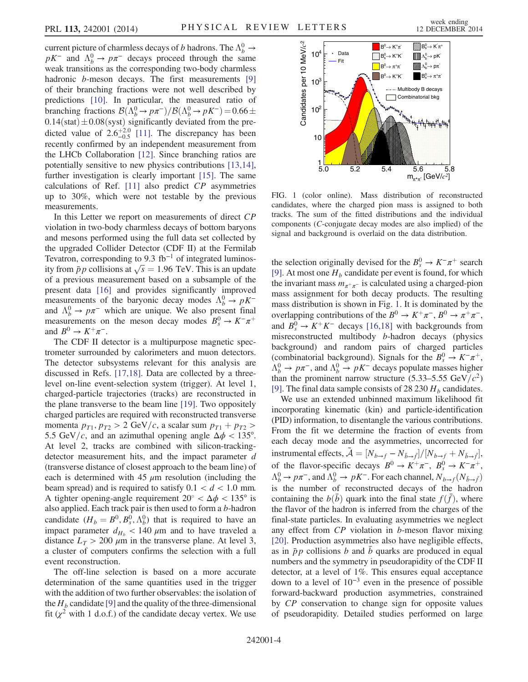current picture of charmless decays of b hadrons. The  $\Lambda_b^0 \to$  $pK^-$  and  $\Lambda_b^0 \to p\pi^-$  decays proceed through the same weak transitions as the corresponding two-body charmless hadronic *b*-meson decays. The first measurements [\[9\]](#page-7-10) of their branching fractions were not well described by predictions [\[10\]](#page-7-11). In particular, the measured ratio of branching fractions  $\mathcal{B}(\Lambda_b^0 \to p\pi^-)/\mathcal{B}(\Lambda_b^0 \to pK^-) = 0.66 \pm$  $0.14$ (stat)  $\pm 0.08$ (syst) significantly deviated from the predicted value of  $2.6^{+2.0}_{-0.5}$  [\[11\].](#page-7-12) The discrepancy has been recently confirmed by an independent measurement from the LHCb Collaboration [\[12\].](#page-7-13) Since branching ratios are potentially sensitive to new physics contributions [\[13,14\]](#page-7-14), further investigation is clearly important [\[15\]](#page-7-15). The same calculations of Ref. [\[11\]](#page-7-12) also predict CP asymmetries up to 30%, which were not testable by the previous measurements.

In this Letter we report on measurements of direct CP violation in two-body charmless decays of bottom baryons and mesons performed using the full data set collected by the upgraded Collider Detector (CDF II) at the Fermilab Tevatron, corresponding to 9.3  $fb^{-1}$  of integrated luminosity from  $\bar{p}p$  collisions at  $\sqrt{s} = 1.96$  TeV. This is an update of a previous measurement based on a subsample of the present data [\[16\]](#page-7-16) and provides significantly improved measurements of the baryonic decay modes  $\Lambda_b^0 \to pK^$ and  $\Lambda_b^0 \to p \pi^-$  which are unique. We also present final measurements on the meson decay modes  $B_s^0 \to K^-\pi^+$ and  $B^0 \to K^+\pi^-$ .

The CDF II detector is a multipurpose magnetic spectrometer surrounded by calorimeters and muon detectors. The detector subsystems relevant for this analysis are discussed in Refs. [\[17,18\]](#page-7-17). Data are collected by a threelevel on-line event-selection system (trigger). At level 1, charged-particle trajectories (tracks) are reconstructed in the plane transverse to the beam line [\[19\].](#page-7-18) Two oppositely charged particles are required with reconstructed transverse momenta  $p_{T1}$ ,  $p_{T2} > 2$  GeV/c, a scalar sum  $p_{T1} + p_{T2} >$ 5.5 GeV/c, and an azimuthal opening angle  $\Delta \phi$  < 135°. At level 2, tracks are combined with silicon-trackingdetector measurement hits, and the impact parameter d (transverse distance of closest approach to the beam line) of each is determined with  $45 \mu m$  resolution (including the beam spread) and is required to satisfy  $0.1 < d < 1.0$  mm. A tighter opening-angle requirement  $20^{\circ} < \Delta \phi < 135^{\circ}$  is also applied. Each track pair is then used to form a b-hadron candidate  $(H_b = B^0, B_s^0, \Lambda_b^0)$  that is required to have an impact parameter  $d_{H_b}$  < 140  $\mu$ m and to have traveled a distance  $L_T > 200 \mu m$  in the transverse plane. At level 3, a cluster of computers confirms the selection with a full event reconstruction.

The off-line selection is based on a more accurate determination of the same quantities used in the trigger with the addition of two further observables: the isolation of the  $H_b$  candidate [\[9\]](#page-7-10) and the quality of the three-dimensional fit  $(\chi^2$  with 1 d.o.f.) of the candidate decay vertex. We use

<span id="page-3-0"></span>

FIG. 1 (color online). Mass distribution of reconstructed candidates, where the charged pion mass is assigned to both tracks. The sum of the fitted distributions and the individual components (C-conjugate decay modes are also implied) of the signal and background is overlaid on the data distribution.

the selection originally devised for the  $B_s^0 \to K^-\pi^+$  search [\[9\]](#page-7-10). At most one  $H_b$  candidate per event is found, for which the invariant mass  $m_{\pi^+\pi^-}$  is calculated using a charged-pion mass assignment for both decay products. The resulting mass distribution is shown in Fig. [1.](#page-3-0) It is dominated by the overlapping contributions of the  $B^0 \to K^+\pi^-$ ,  $B^0 \to \pi^+\pi^-$ , and  $B_s^0 \to K^+K^-$  decays [\[16,18\]](#page-7-16) with backgrounds from misreconstructed multibody b-hadron decays (physics background) and random pairs of charged particles (combinatorial background). Signals for the  $B_s^0 \to K^-\pi^+$ ,  $\Lambda_b^0 \to p \pi^-$ , and  $\Lambda_b^0 \to p K^-$  decays populate masses higher than the prominent narrow structure (5.33–5.55 GeV/ $c^2$ ) [\[9\]](#page-7-10). The final data sample consists of 28 230  $H<sub>b</sub>$  candidates.

We use an extended unbinned maximum likelihood fit incorporating kinematic (kin) and particle-identification (PID) information, to disentangle the various contributions. From the fit we determine the fraction of events from each decay mode and the asymmetries, uncorrected for instrumental effects,  $A = [N_{b \to f} - N_{\bar{b} \to \bar{f}}]/[N_{b \to f} + N_{\bar{b} \to \bar{f}}],$ of the flavor-specific decays  $B^0 \to K^+\pi^-$ ,  $B_s^0 \to K^-\pi^+$ ,  $\Lambda_b^0 \to p\pi^-$ , and  $\Lambda_b^0 \to pK^-$ . For each channel,  $N_{b\to f}(N_{\bar{b}\to f})$ is the number of reconstructed decays of the hadron containing the  $b(b)$  quark into the final state  $f(f)$ , where the flavor of the hadron is inferred from the charges of the final-state particles. In evaluating asymmetries we neglect any effect from  $CP$  violation in  $b$ -meson flavor mixing [\[20\]](#page-7-19). Production asymmetries also have negligible effects, as in  $\bar{p}p$  collisions b and b quarks are produced in equal numbers and the symmetry in pseudorapidity of the CDF II detector, at a level of 1%. This ensures equal acceptance down to a level of 10<sup>−</sup><sup>3</sup> even in the presence of possible forward-backward production asymmetries, constrained by CP conservation to change sign for opposite values of pseudorapidity. Detailed studies performed on large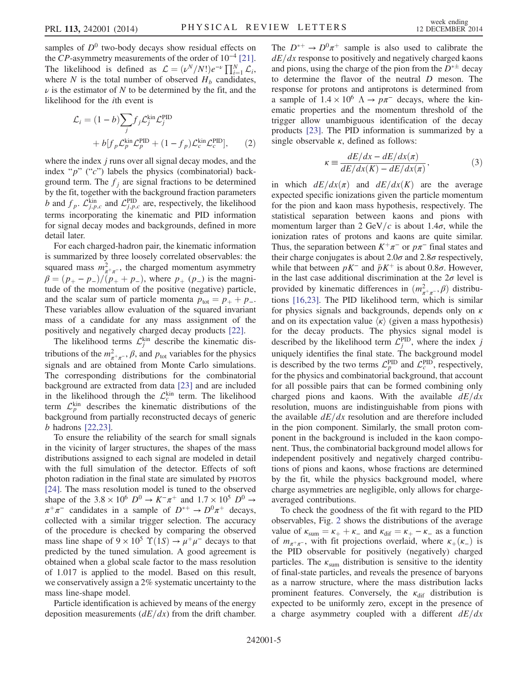samples of  $D^0$  two-body decays show residual effects on the CP-asymmetry measurements of the order of  $10^{-4}$  [\[21\]](#page-7-20). The likelihood is defined as  $\mathcal{L} = (\nu^N/N!)e^{-\nu} \prod_{i=1}^N \mathcal{L}_i$ , where N is the total number of observed  $H_b$  candidates,  $\nu$  is the estimator of N to be determined by the fit, and the likelihood for the ith event is

<span id="page-4-0"></span>
$$
\mathcal{L}_i = (1 - b) \sum_j f_j \mathcal{L}_j^{\text{kin}} \mathcal{L}_j^{\text{PID}} + b[f_p \mathcal{L}_p^{\text{kin}} \mathcal{L}_p^{\text{PID}} + (1 - f_p) \mathcal{L}_c^{\text{kin}} \mathcal{L}_c^{\text{PID}}],
$$
 (2)

where the index *j* runs over all signal decay modes, and the index " $p$ " (" $c$ ") labels the physics (combinatorial) background term. The  $f_i$  are signal fractions to be determined by the fit, together with the background fraction parameters b and  $f_p$ .  $\mathcal{L}_{i,p,c}^{kin}$  and  $\mathcal{L}_{i,p,c}^{PID}$  are, respectively, the likelihood terms incorporating the kinematic and PID information for signal decay modes and backgrounds, defined in more detail later.

For each charged-hadron pair, the kinematic information is summarized by three loosely correlated observables: the squared mass  $m_{\pi^+\pi^-}^2$ , the charged momentum asymmetry  $\beta = (p_{+} - p_{-})/(p_{+} + p_{-})$ , where  $p_{+} (p_{-})$  is the magnitude of the momentum of the positive (negative) particle, and the scalar sum of particle momenta  $p_{\text{tot}} = p_+ + p_-$ . These variables allow evaluation of the squared invariant mass of a candidate for any mass assignment of the positively and negatively charged decay products [\[22\].](#page-7-21)

The likelihood terms  $\mathcal{L}_i^{\text{kin}}$  describe the kinematic distributions of the  $m_{\pi^+\pi^-}^2$ ,  $\beta$ , and  $p_{\text{tot}}$  variables for the physics signals and are obtained from Monte Carlo simulations. The corresponding distributions for the combinatorial background are extracted from data [\[23\]](#page-7-22) and are included in the likelihood through the  $\mathcal{L}_c^{\text{kin}}$  term. The likelihood term  $\mathcal{L}_p^{\text{kin}}$  describes the kinematic distributions of the background from partially reconstructed decays of generic b hadrons [\[22,23\]](#page-7-21).

To ensure the reliability of the search for small signals in the vicinity of larger structures, the shapes of the mass distributions assigned to each signal are modeled in detail with the full simulation of the detector. Effects of soft photon radiation in the final state are simulated by PHOTOS [\[24\]](#page-7-23). The mass resolution model is tuned to the observed shape of the 3.8 × 10<sup>6</sup>  $D^0 \rightarrow K^-\pi^+$  and 1.7 × 10<sup>5</sup>  $D^0 \rightarrow$  $\pi^+\pi^-$  candidates in a sample of  $D^{*+} \to D^0\pi^+$  decays, collected with a similar trigger selection. The accuracy of the procedure is checked by comparing the observed mass line shape of  $9 \times 10^5$   $\Upsilon(1S) \rightarrow \mu^+ \mu^-$  decays to that predicted by the tuned simulation. A good agreement is obtained when a global scale factor to the mass resolution of 1.017 is applied to the model. Based on this result, we conservatively assign a 2% systematic uncertainty to the mass line-shape model.

Particle identification is achieved by means of the energy deposition measurements  $\left(\frac{dE}{dx}\right)$  from the drift chamber. The  $D^{*+} \rightarrow D^0 \pi^+$  sample is also used to calibrate the  $dE/dx$  response to positively and negatively charged kaons and pions, using the charge of the pion from the  $D^{*\pm}$  decay to determine the flavor of the neutral D meson. The response for protons and antiprotons is determined from a sample of  $1.4 \times 10^6$   $\Lambda \rightarrow p\pi^-$  decays, where the kinematic properties and the momentum threshold of the trigger allow unambiguous identification of the decay products [\[23\]](#page-7-22). The PID information is summarized by a single observable  $\kappa$ , defined as follows:

$$
\kappa \equiv \frac{dE/dx - dE/dx(\pi)}{dE/dx(K) - dE/dx(\pi)},
$$
\n(3)

in which  $dE/dx(\pi)$  and  $dE/dx(K)$  are the average expected specific ionizations given the particle momentum for the pion and kaon mass hypothesis, respectively. The statistical separation between kaons and pions with momentum larger than 2 GeV/c is about 1.4 $\sigma$ , while the ionization rates of protons and kaons are quite similar. Thus, the separation between  $K^+\pi^-$  or  $p\pi^-$  final states and their charge conjugates is about 2.0 $\sigma$  and 2.8 $\sigma$  respectively, while that between  $pK^-$  and  $\bar{p}K^+$  is about 0.8 $\sigma$ . However, in the last case additional discrimination at the  $2\sigma$  level is provided by kinematic differences in  $(m_{\pi^+\pi^-}^2, \beta)$  distributions [\[16,23\].](#page-7-16) The PID likelihood term, which is similar for physics signals and backgrounds, depends only on  $\kappa$ and on its expectation value  $\langle \kappa \rangle$  (given a mass hypothesis) for the decay products. The physics signal model is described by the likelihood term  $\mathcal{L}^{\text{PID}}_i$ , where the index j uniquely identifies the final state. The background model is described by the two terms  $\mathcal{L}_p^{\text{PID}}$  and  $\mathcal{L}_c^{\text{PID}}$ , respectively, for the physics and combinatorial background, that account for all possible pairs that can be formed combining only charged pions and kaons. With the available  $dE/dx$ resolution, muons are indistinguishable from pions with the available  $dE/dx$  resolution and are therefore included in the pion component. Similarly, the small proton component in the background is included in the kaon component. Thus, the combinatorial background model allows for independent positively and negatively charged contributions of pions and kaons, whose fractions are determined by the fit, while the physics background model, where charge asymmetries are negligible, only allows for chargeaveraged contributions.

To check the goodness of the fit with regard to the PID observables, Fig. [2](#page-5-0) shows the distributions of the average value of  $\kappa_{\text{sum}} = \kappa_{+} + \kappa_{-}$  and  $\kappa_{\text{diff}} = \kappa_{+} - \kappa_{-}$  as a function of  $m_{\pi^+\pi^-}$ , with fit projections overlaid, where  $\kappa_+(\kappa_-)$  is the PID observable for positively (negatively) charged particles. The  $\kappa_{\text{sum}}$  distribution is sensitive to the identity of final-state particles, and reveals the presence of baryons as a narrow structure, where the mass distribution lacks prominent features. Conversely, the  $\kappa_{\text{dif}}$  distribution is expected to be uniformly zero, except in the presence of a charge asymmetry coupled with a different  $dE/dx$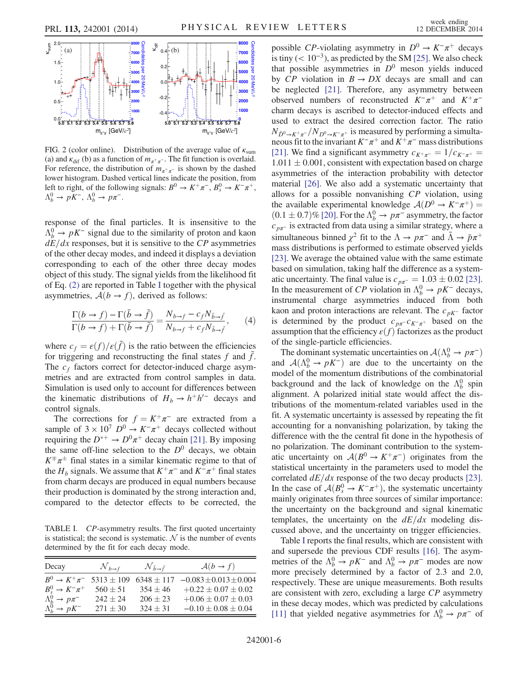<span id="page-5-0"></span>

FIG. 2 (color online). Distribution of the average value of  $\kappa_{\text{sum}}$ (a) and  $\kappa_{\text{dif}}$  (b) as a function of  $m_{\pi^+\pi^-}$ . The fit function is overlaid. For reference, the distribution of  $m_{\pi^+\pi^-}$  is shown by the dashed lower histogram. Dashed vertical lines indicate the position, from left to right, of the following signals:  $B^0 \to K^+\pi^-$ ,  $B_s^0 \to K^-\pi^+$ ,  $\Lambda_b^0 \to pK^-$ ,  $\Lambda_b^0 \to p\pi^-$ .

response of the final particles. It is insensitive to the  $\Lambda_b^0 \rightarrow pK^-$  signal due to the similarity of proton and kaon  $dE/dx$  responses, but it is sensitive to the CP asymmetries of the other decay modes, and indeed it displays a deviation corresponding to each of the other three decay modes object of this study. The signal yields from the likelihood fit of Eq. [\(2\)](#page-4-0) are reported in Table [I](#page-5-1) together with the physical asymmetries,  $A(b \rightarrow f)$ , derived as follows:

$$
\frac{\Gamma(b \to f) - \Gamma(\bar{b} \to \bar{f})}{\Gamma(b \to f) + \Gamma(\bar{b} \to \bar{f})} = \frac{N_{b \to f} - c_f N_{\bar{b} \to \bar{f}}}{N_{b \to f} + c_f N_{\bar{b} \to \bar{f}}},\qquad(4)
$$

where  $c_f = \varepsilon(f)/\varepsilon(\bar{f})$  is the ratio between the efficiencies for triggering and reconstructing the final states  $f$  and  $f$ . The  $c_f$  factors correct for detector-induced charge asymmetries and are extracted from control samples in data. Simulation is used only to account for differences between the kinematic distributions of  $H_b \to h^+h'^-$  decays and control signals.

The corrections for  $f = K^+\pi^-$  are extracted from a sample of  $3 \times 10^7$   $D^0 \rightarrow K^-\pi^+$  decays collected without requiring the  $D^{*+} \to D^0 \pi^+$  decay chain [\[21\].](#page-7-20) By imposing the same off-line selection to the  $D^0$  decays, we obtain  $K^{\pm} \pi^{\pm}$  final states in a similar kinematic regime to that of the  $H_b$  signals. We assume that  $K^+\pi^-$  and  $K^-\pi^+$  final states from charm decays are produced in equal numbers because their production is dominated by the strong interaction and, compared to the detector effects to be corrected, the

<span id="page-5-1"></span>TABLE I. CP-asymmetry results. The first quoted uncertainty is statistical; the second is systematic.  $N$  is the number of events determined by the fit for each decay mode.

| Decay                          | $\mathcal{N}_{b\rightarrow f}$ | $\mathcal{N}_{\bar{b}\rightarrow\bar{f}}$ | $\mathcal{A}(b \rightarrow f)$                             |
|--------------------------------|--------------------------------|-------------------------------------------|------------------------------------------------------------|
| $B^0 \rightarrow K^+ \pi^-$    |                                |                                           | $5313 \pm 109$ $6348 \pm 117$ $-0.083 \pm 0.013 \pm 0.004$ |
| $B_s^0 \rightarrow K^- \pi^+$  | $560 \pm 51$                   | $354 + 46$                                | $+0.22 \pm 0.07 \pm 0.02$                                  |
| $\Lambda_b^0 \to p \pi^-$      | $242 + 24$                     | $206 \pm 23$                              | $+0.06 \pm 0.07 \pm 0.03$                                  |
| $\Lambda_b^0 \rightarrow pK^-$ | $271 \pm 30$                   | $324 + 31$                                | $-0.10 \pm 0.08 \pm 0.04$                                  |

possible CP-violating asymmetry in  $D^0 \to K^-\pi^+$  decays is tiny ( $< 10^{-3}$ ), as predicted by the SM [\[25\].](#page-7-24) We also check that possible asymmetries in  $D^0$  meson yields induced by  $CP$  violation in  $B \rightarrow DX$  decays are small and can be neglected [\[21\].](#page-7-20) Therefore, any asymmetry between observed numbers of reconstructed  $K^-\pi^+$  and  $K^+\pi^$ charm decays is ascribed to detector-induced effects and used to extract the desired correction factor. The ratio  $N_{\bar{D}^0 \to K^+\pi^-}/N_{D^0 \to K^-\pi^+}$  is measured by performing a simultaneous fit to the invariant  $K^-\pi^+$  and  $K^+\pi^-$  mass distributions [\[21\]](#page-7-20). We find a significant asymmetry  $c_{K^+\pi^-} = 1/c_{K^-\pi^+} =$  $1.011 \pm 0.001$ , consistent with expectation based on charge asymmetries of the interaction probability with detector material [\[26\]](#page-7-25). We also add a systematic uncertainty that allows for a possible nonvanishing CP violation, using the available experimental knowledge  $A(D^0 \rightarrow K^-\pi^+)$  =  $(0.1 \pm 0.7)\%$  [\[20\].](#page-7-19) For the  $\Lambda_b^0 \rightarrow p\pi^-$  asymmetry, the factor  $c_{p\pi}$ <sup>-</sup> is extracted from data using a similar strategy, where a simultaneous binned  $\chi^2$  fit to the  $\Lambda \to p\pi^-$  and  $\bar{\Lambda} \to \bar{p}\pi^+$ mass distributions is performed to estimate observed yields [\[23\]](#page-7-22). We average the obtained value with the same estimate based on simulation, taking half the difference as a systematic uncertainty. The final value is  $c_{p\pi^-} = 1.03 \pm 0.02$  [\[23\]](#page-7-22). In the measurement of CP violation in  $\Lambda_b^0 \to pK^-$  decays, instrumental charge asymmetries induced from both kaon and proton interactions are relevant. The  $c_{pK^-}$  factor is determined by the product  $c_{p\pi}$ - $c_{K^-\pi^+}$  based on the assumption that the efficiency  $\varepsilon(f)$  factorizes as the product of the single-particle efficiencies.

The dominant systematic uncertainties on  $\mathcal{A}(\Lambda_b^0 \to p\pi^-)$ and  $A(\Lambda_b^0 \to pK^-)$  are due to the uncertainty on the model of the momentum distributions of the combinatorial background and the lack of knowledge on the  $\Lambda_b^0$  spin alignment. A polarized initial state would affect the distributions of the momentum-related variables used in the fit. A systematic uncertainty is assessed by repeating the fit accounting for a nonvanishing polarization, by taking the difference with the the central fit done in the hypothesis of no polarization. The dominant contribution to the systematic uncertainty on  $A(B^0 \to K^+\pi^-)$  originates from the statistical uncertainty in the parameters used to model the correlated  $dE/dx$  response of the two decay products [\[23\]](#page-7-22). In the case of  $A(B_s^0 \to K^-\pi^+)$ , the systematic uncertainty mainly originates from three sources of similar importance: the uncertainty on the background and signal kinematic templates, the uncertainty on the  $dE/dx$  modeling discussed above, and the uncertainty on trigger efficiencies.

Table [I](#page-5-1) reports the final results, which are consistent with and supersede the previous CDF results [\[16\].](#page-7-16) The asymmetries of the  $\Lambda_b^0 \to pK^-$  and  $\Lambda_b^0 \to p\pi^-$  modes are now more precisely determined by a factor of 2.3 and 2.0, respectively. These are unique measurements. Both results are consistent with zero, excluding a large CP asymmetry in these decay modes, which was predicted by calculations [\[11\]](#page-7-12) that yielded negative asymmetries for  $\Lambda_b^0 \to p \pi^-$  of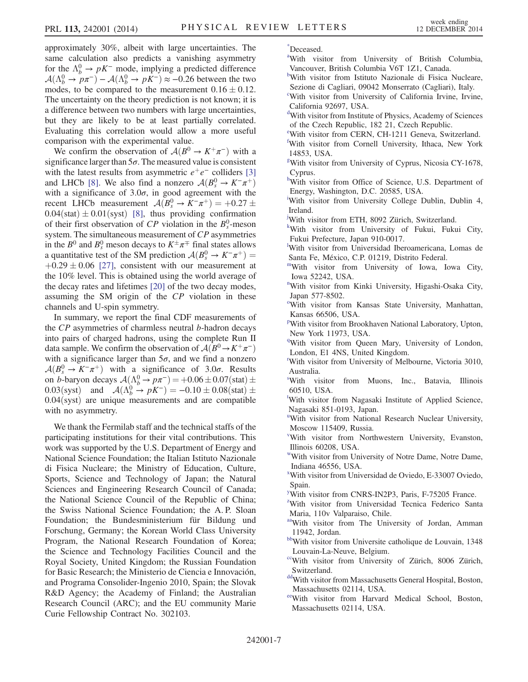approximately 30%, albeit with large uncertainties. The same calculation also predicts a vanishing asymmetry for the  $\Lambda_b^0 \to pK^-$  mode, implying a predicted difference  $A(\Lambda_b^0 \to p\pi^-) - A(\Lambda_b^0 \to pK^-) \approx -0.26$  between the two modes, to be compared to the measurement  $0.16 \pm 0.12$ . The uncertainty on the theory prediction is not known; it is a difference between two numbers with large uncertainties, but they are likely to be at least partially correlated. Evaluating this correlation would allow a more useful comparison with the experimental value.

We confirm the observation of  $A(B^0 \to K^+\pi^-)$  with a significance larger than  $5\sigma$ . The measured value is consistent with the latest results from asymmetric  $e^+e^-$  colliders [\[3\]](#page-7-5) and LHCb [\[8\]](#page-7-9). We also find a nonzero  $\mathcal{A}(B_s^0 \to K^-\pi^+)$ with a significance of  $3.0\sigma$ , in good agreement with the recent LHCb measurement  $A(B_s^0 \to K^-\pi^+) = +0.27 \pm$  $0.04(stat) \pm 0.01(syst)$  [\[8\],](#page-7-9) thus providing confirmation of their first observation of CP violation in the  $B_s^0$ -meson system. The simultaneous measurement of CP asymmetries in the  $B^0$  and  $B_s^0$  meson decays to  $K^{\pm}\pi^{\mp}$  final states allows a quantitative test of the SM prediction  $\mathcal{A}(B_s^0 \to K^- \pi^+) =$  $+0.29 \pm 0.06$  [\[27\],](#page-7-26) consistent with our measurement at the 10% level. This is obtained using the world average of the decay rates and lifetimes [\[20\]](#page-7-19) of the two decay modes, assuming the SM origin of the CP violation in these channels and U-spin symmetry.

In summary, we report the final CDF measurements of the CP asymmetries of charmless neutral b-hadron decays into pairs of charged hadrons, using the complete Run II data sample. We confirm the observation of  $A(B^0 \rightarrow K^+\pi^-)$ with a significance larger than  $5\sigma$ , and we find a nonzero  $\mathcal{A}(B_s^0 \to K^-\pi^+)$  with a significance of 3.0 $\sigma$ . Results on b-baryon decays  $A(\Lambda_b^0 \to p\pi^-) = +0.06 \pm 0.07$ (stat)  $\pm$ <br>0.03(syst) and  $A(\Lambda_b^0 \to pK^-) = -0.10 \pm 0.08$ (stat)  $\pm$  $0.04$ (syst) are unique measurements and are compatible with no asymmetry.

We thank the Fermilab staff and the technical staffs of the participating institutions for their vital contributions. This work was supported by the U.S. Department of Energy and National Science Foundation; the Italian Istituto Nazionale di Fisica Nucleare; the Ministry of Education, Culture, Sports, Science and Technology of Japan; the Natural Sciences and Engineering Research Council of Canada; the National Science Council of the Republic of China; the Swiss National Science Foundation; the A. P. Sloan Foundation; the Bundesministerium für Bildung und Forschung, Germany; the Korean World Class University Program, the National Research Foundation of Korea; the Science and Technology Facilities Council and the Royal Society, United Kingdom; the Russian Foundation for Basic Research; the Ministerio de Ciencia e Innovación, and Programa Consolider-Ingenio 2010, Spain; the Slovak R&D Agency; the Academy of Finland; the Australian Research Council (ARC); and the EU community Marie Curie Fellowship Contract No. 302103.

<span id="page-6-16"></span>[\\*](#page-0-0) Deceased.

- <span id="page-6-19"></span>[a](#page-0-1) With visitor from University of British Columbia, Vancouver, British Columbia V6T 1Z1, Canada.
- <span id="page-6-21"></span>[b](#page-0-2) With visitor from Istituto Nazionale di Fisica Nucleare, Sezione di Cagliari, 09042 Monserrato (Cagliari), Italy.
- <span id="page-6-29"></span>[c](#page-0-3) With visitor from University of California Irvine, Irvine, California 92697, USA.
- <span id="page-6-20"></span>[d](#page-0-2) With visitor from Institute of Physics, Academy of Sciences of the Czech Republic, 182 21, Czech Republic.
- <span id="page-6-4"></span>[e](#page-0-4) With visitor from CERN, CH-1211 Geneva, Switzerland.
- <span id="page-6-12"></span>[f](#page-0-5) With visitor from Cornell University, Ithaca, New York 14853, USA.
- <span id="page-6-25"></span>[g](#page-0-6) With visitor from University of Cyprus, Nicosia CY-1678, Cyprus.
- <span id="page-6-26"></span>[h](#page-0-7) With visitor from Office of Science, U.S. Department of Energy, Washington, D.C. 20585, USA.
- <span id="page-6-22"></span>[i](#page-0-8) With visitor from University College Dublin, Dublin 4, Ireland.
- <span id="page-6-3"></span>[j](#page-0-3) With visitor from ETH, 8092 Zürich, Switzerland.
- <span id="page-6-30"></span>[k](#page-1-0) With visitor from University of Fukui, Fukui City, Fukui Prefecture, Japan 910-0017.
- <span id="page-6-2"></span>[l](#page-0-9) With visitor from Universidad Iberoamericana, Lomas de Santa Fe, México, C.P. 01219, Distrito Federal.
- <span id="page-6-11"></span>[mW](#page-0-10)ith visitor from University of Iowa, Iowa City, Iowa 52242, USA.
- <span id="page-6-15"></span>[n](#page-0-11) With visitor from Kinki University, Higashi-Osaka City, Japan 577-8502.
- <span id="page-6-14"></span><sup>[o](#page-0-12)</sup>With visitor from Kansas State University, Manhattan, Kansas 66506, USA.
- <span id="page-6-9"></span><su[p](#page-0-13)>p</sup>With visitor from Brookhaven National Laboratory, Upton, New York 11973, USA.
- <span id="page-6-5"></span><sup>[q](#page-0-14)</sup>With visitor from Queen Mary, University of London, London, E1 4NS, United Kingdom.
- <span id="page-6-18"></span>[r](#page-0-1) With visitor from University of Melbourne, Victoria 3010, Australia.
- <span id="page-6-10"></span><[s](#page-0-15)up>s</sup>With visitor from Muons, Inc., Batavia, Illinois 60510, USA.
- <span id="page-6-27"></span>[t](#page-0-16) With visitor from Nagasaki Institute of Applied Science, Nagasaki 851-0193, Japan.
- <span id="page-6-8"></span><s[u](#page-0-17)p>u</sup>With visitor from National Research Nuclear University, Moscow 115409, Russia.
- <span id="page-6-0"></span>[v](#page-0-0) With visitor from Northwestern University, Evanston, Illinois 60208, USA.
- <span id="page-6-17"></span>With visitor from University of Notre Dame, Notre Dame, Indiana 46556, USA.
- <span id="page-6-7"></span>[x](#page-0-19) With visitor from Universidad de Oviedo, E-33007 Oviedo, Spain.
- <span id="page-6-6"></span><sup>[y](#page-0-17)</sup>With visitor from CNRS-IN2P3, Paris, F-75205 France.
- <span id="page-6-24"></span><sup>[z](#page-0-6)</sup>With visitor from Universidad Tecnica Federico Santa Maria, 110v Valparaiso, Chile.
- <span id="page-6-13"></span>[aaW](#page-0-12)ith visitor from The University of Jordan, Amman 11942, Jordan.
- <span id="page-6-28"></span>[bb](#page-0-9)With visitor from Universite catholique de Louvain, 1348 Louvain-La-Neuve, Belgium.
- <span id="page-6-1"></span>[ccW](#page-0-11)ith visitor from University of Zürich, 8006 Zürich, Switzerland.
- <span id="page-6-23"></span>[dd](#page-0-20)With visitor from Massachusetts General Hospital, Boston, Massachusetts 02114, USA.
- eeWith visitor from Harvard Medical School, Boston, Massachusetts 02114, USA.